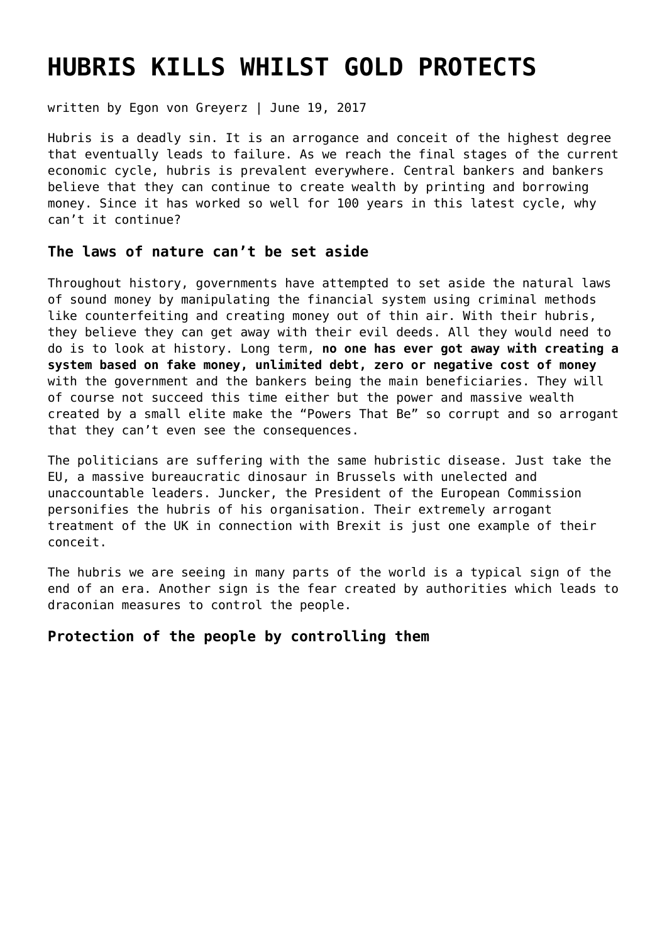## **[HUBRIS KILLS WHILST GOLD PROTECTS](https://goldswitzerland.com/hubris-kills-whilst-gold-protects/)**

written by Egon von Greyerz | June 19, 2017

Hubris is a deadly sin. It is an arrogance and conceit of the highest degree that eventually leads to failure. As we reach the final stages of the current economic cycle, hubris is prevalent everywhere. Central bankers and bankers believe that they can continue to create wealth by printing and borrowing money. Since it has worked so well for 100 years in this latest cycle, why can't it continue?

### **The laws of nature can't be set aside**

Throughout history, governments have attempted to set aside the natural laws of sound money by manipulating the financial system using criminal methods like counterfeiting and creating money out of thin air. With their hubris, they believe they can get away with their evil deeds. All they would need to do is to look at history. Long term, **no one has ever got away with creating a system based on fake money, unlimited debt, zero or negative cost of money** with the government and the bankers being the main beneficiaries. They will of course not succeed this time either but the power and massive wealth created by a small elite make the "Powers That Be" so corrupt and so arrogant that they can't even see the consequences.

The politicians are suffering with the same hubristic disease. Just take the EU, a massive bureaucratic dinosaur in Brussels with unelected and unaccountable leaders. Juncker, the President of the European Commission personifies the hubris of his organisation. Their extremely arrogant treatment of the UK in connection with Brexit is just one example of their conceit.

The hubris we are seeing in many parts of the world is a typical sign of the end of an era. Another sign is the fear created by authorities which leads to draconian measures to control the people.

## **Protection of the people by controlling them**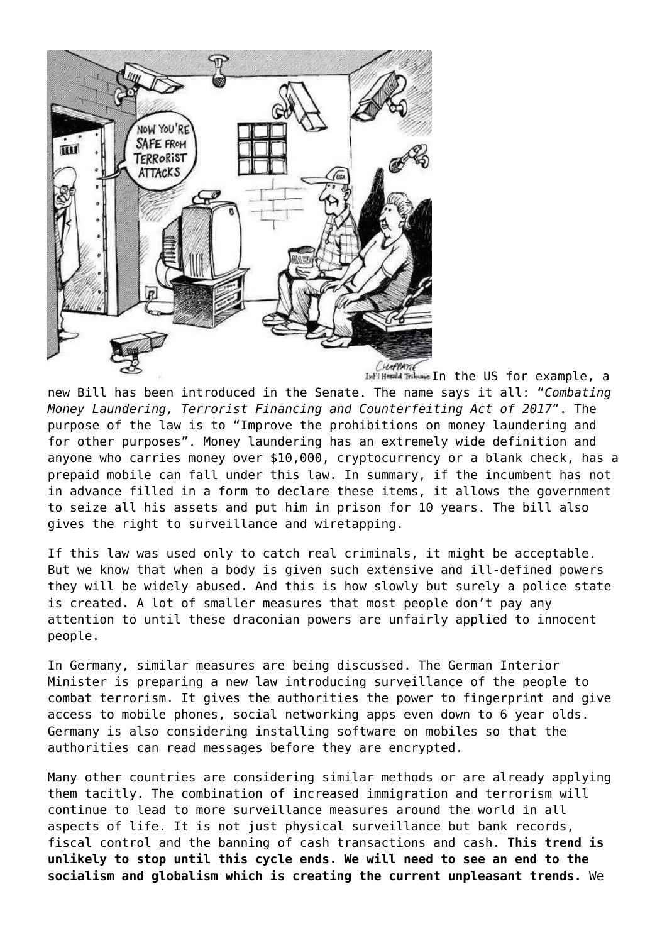

new Bill has been introduced in the Senate. The name says it all: "*Combating Money Laundering, Terrorist Financing and Counterfeiting Act of 2017*". The purpose of the law is to "Improve the prohibitions on money laundering and for other purposes". Money laundering has an extremely wide definition and anyone who carries money over \$10,000, cryptocurrency or a blank check, has a prepaid mobile can fall under this law. In summary, if the incumbent has not in advance filled in a form to declare these items, it allows the government to seize all his assets and put him in prison for 10 years. The bill also gives the right to surveillance and wiretapping.

If this law was used only to catch real criminals, it might be acceptable. But we know that when a body is given such extensive and ill-defined powers they will be widely abused. And this is how slowly but surely a police state is created. A lot of smaller measures that most people don't pay any attention to until these draconian powers are unfairly applied to innocent people.

In Germany, similar measures are being discussed. The German Interior Minister is preparing a new law introducing surveillance of the people to combat terrorism. It gives the authorities the power to fingerprint and give access to mobile phones, social networking apps even down to 6 year olds. Germany is also considering installing software on mobiles so that the authorities can read messages before they are encrypted.

Many other countries are considering similar methods or are already applying them tacitly. The combination of increased immigration and terrorism will continue to lead to more surveillance measures around the world in all aspects of life. It is not just physical surveillance but bank records, fiscal control and the banning of cash transactions and cash. **This trend is unlikely to stop until this cycle ends. We will need to see an end to the socialism and globalism which is creating the current unpleasant trends.** We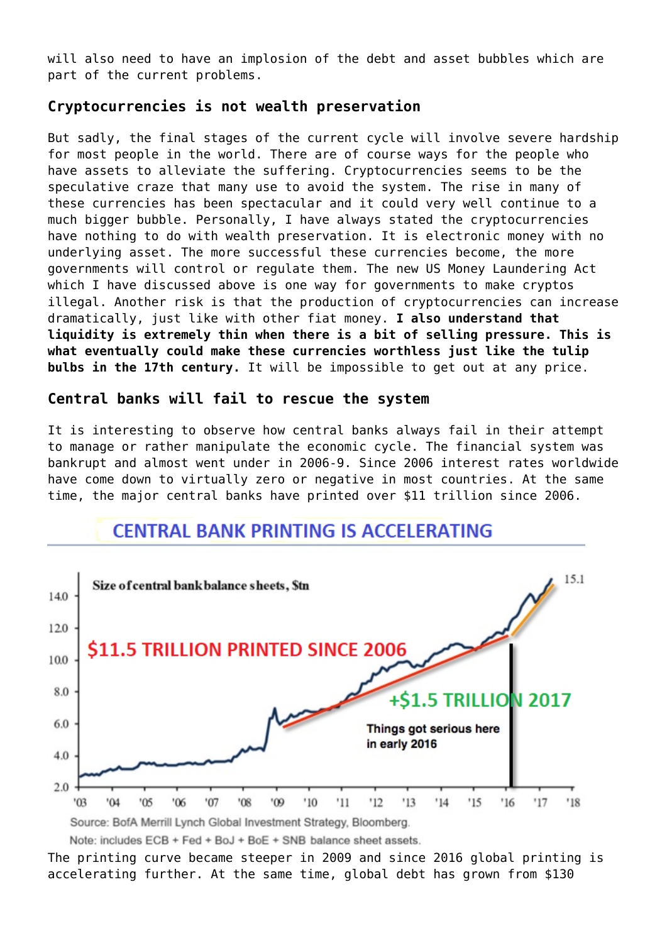will also need to have an implosion of the debt and asset bubbles which are part of the current problems.

## **Cryptocurrencies is not wealth preservation**

But sadly, the final stages of the current cycle will involve severe hardship for most people in the world. There are of course ways for the people who have assets to alleviate the suffering. Cryptocurrencies seems to be the speculative craze that many use to avoid the system. The rise in many of these currencies has been spectacular and it could very well continue to a much bigger bubble. Personally, I have always stated the cryptocurrencies have nothing to do with wealth preservation. It is electronic money with no underlying asset. The more successful these currencies become, the more governments will control or regulate them. The new US Money Laundering Act which I have discussed above is one way for governments to make cryptos illegal. Another risk is that the production of cryptocurrencies can increase dramatically, just like with other fiat money. **I also understand that liquidity is extremely thin when there is a bit of selling pressure. This is what eventually could make these currencies worthless just like the tulip bulbs in the 17th century.** It will be impossible to get out at any price.

## **Central banks will fail to rescue the system**

It is interesting to observe how central banks always fail in their attempt to manage or rather manipulate the economic cycle. The financial system was bankrupt and almost went under in 2006-9. Since 2006 interest rates worldwide have come down to virtually zero or negative in most countries. At the same time, the major central banks have printed over \$11 trillion since 2006.

## **CENTRAL BANK PRINTING IS ACCELERATING**



The printing curve became steeper in 2009 and since 2016 global printing is accelerating further. At the same time, global debt has grown from \$130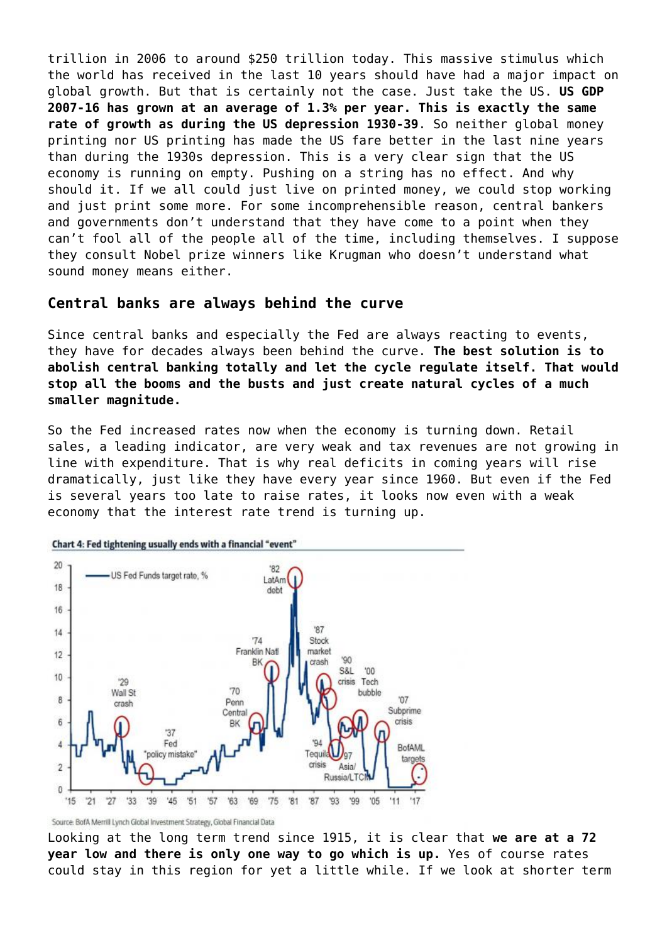trillion in 2006 to around \$250 trillion today. This massive stimulus which the world has received in the last 10 years should have had a major impact on global growth. But that is certainly not the case. Just take the US. **US GDP 2007-16 has grown at an average of 1.3% per year. This is exactly the same rate of growth as during the US depression 1930-39**. So neither global money printing nor US printing has made the US fare better in the last nine years than during the 1930s depression. This is a very clear sign that the US economy is running on empty. Pushing on a string has no effect. And why should it. If we all could just live on printed money, we could stop working and just print some more. For some incomprehensible reason, central bankers and governments don't understand that they have come to a point when they can't fool all of the people all of the time, including themselves. I suppose they consult Nobel prize winners like Krugman who doesn't understand what sound money means either.

#### **Central banks are always behind the curve**

Since central banks and especially the Fed are always reacting to events, they have for decades always been behind the curve. **The best solution is to abolish central banking totally and let the cycle regulate itself. That would stop all the booms and the busts and just create natural cycles of a much smaller magnitude.**

So the Fed increased rates now when the economy is turning down. Retail sales, a leading indicator, are very weak and tax revenues are not growing in line with expenditure. That is why real deficits in coming years will rise dramatically, just like they have every year since 1960. But even if the Fed is several years too late to raise rates, it looks now even with a weak economy that the interest rate trend is turning up.



Source: BofA Merrill Lynch Global Investment Strategy, Global Financial Data

Looking at the long term trend since 1915, it is clear that **we are at a 72 year low and there is only one way to go which is up.** Yes of course rates could stay in this region for yet a little while. If we look at shorter term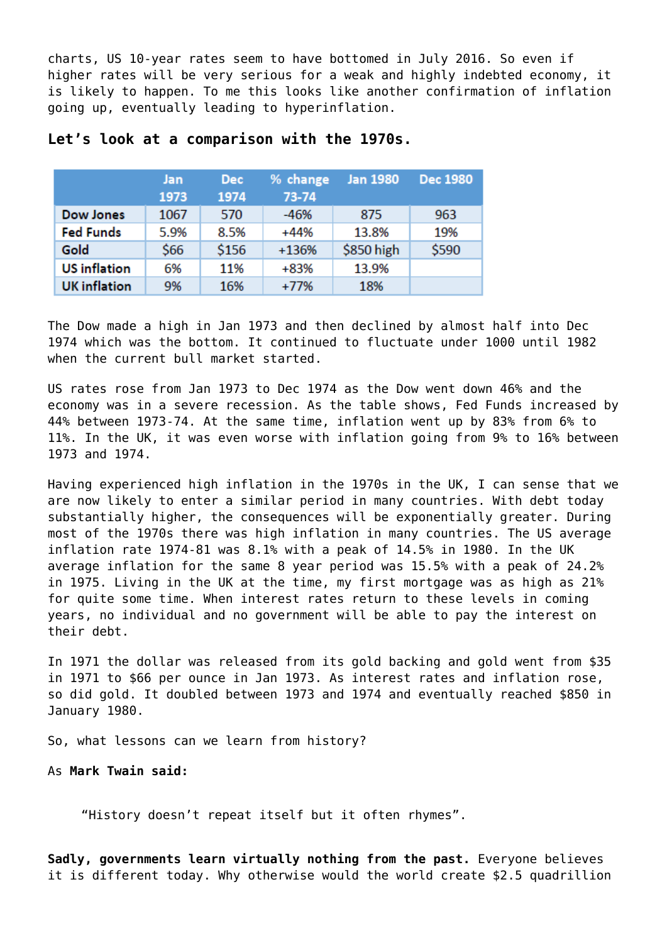charts, US 10-year rates seem to have bottomed in July 2016. So even if higher rates will be very serious for a weak and highly indebted economy, it is likely to happen. To me this looks like another confirmation of inflation going up, eventually leading to hyperinflation.

|                     | Jan  | <b>Dec</b> | % change | <b>Jan 1980</b> | <b>Dec 1980</b> |
|---------------------|------|------------|----------|-----------------|-----------------|
|                     | 1973 | 1974       | 73-74    |                 |                 |
| <b>Dow Jones</b>    | 1067 | 570        | $-46%$   | 875             | 963             |
| <b>Fed Funds</b>    | 5.9% | 8.5%       | $+44%$   | 13.8%           | 19%             |
| Gold                | \$66 | \$156      | $+136%$  | \$850 high      | \$590           |
| <b>US</b> inflation | 6%   | 11%        | +83%     | 13.9%           |                 |
| <b>UK</b> inflation | 9%   | 16%        | $+77%$   | 18%             |                 |

#### **Let's look at a comparison with the 1970s.**

The Dow made a high in Jan 1973 and then declined by almost half into Dec 1974 which was the bottom. It continued to fluctuate under 1000 until 1982 when the current bull market started.

US rates rose from Jan 1973 to Dec 1974 as the Dow went down 46% and the economy was in a severe recession. As the table shows, Fed Funds increased by 44% between 1973-74. At the same time, inflation went up by 83% from 6% to 11%. In the UK, it was even worse with inflation going from 9% to 16% between 1973 and 1974.

Having experienced high inflation in the 1970s in the UK, I can sense that we are now likely to enter a similar period in many countries. With debt today substantially higher, the consequences will be exponentially greater. During most of the 1970s there was high inflation in many countries. The US average inflation rate 1974-81 was 8.1% with a peak of 14.5% in 1980. In the UK average inflation for the same 8 year period was 15.5% with a peak of 24.2% in 1975. Living in the UK at the time, my first mortgage was as high as 21% for quite some time. When interest rates return to these levels in coming years, no individual and no government will be able to pay the interest on their debt.

In 1971 the dollar was released from its gold backing and gold went from \$35 in 1971 to \$66 per ounce in Jan 1973. As interest rates and inflation rose, so did gold. It doubled between 1973 and 1974 and eventually reached \$850 in January 1980.

So, what lessons can we learn from history?

As **Mark Twain said:**

"History doesn't repeat itself but it often rhymes".

**Sadly, governments learn virtually nothing from the past.** Everyone believes it is different today. Why otherwise would the world create \$2.5 quadrillion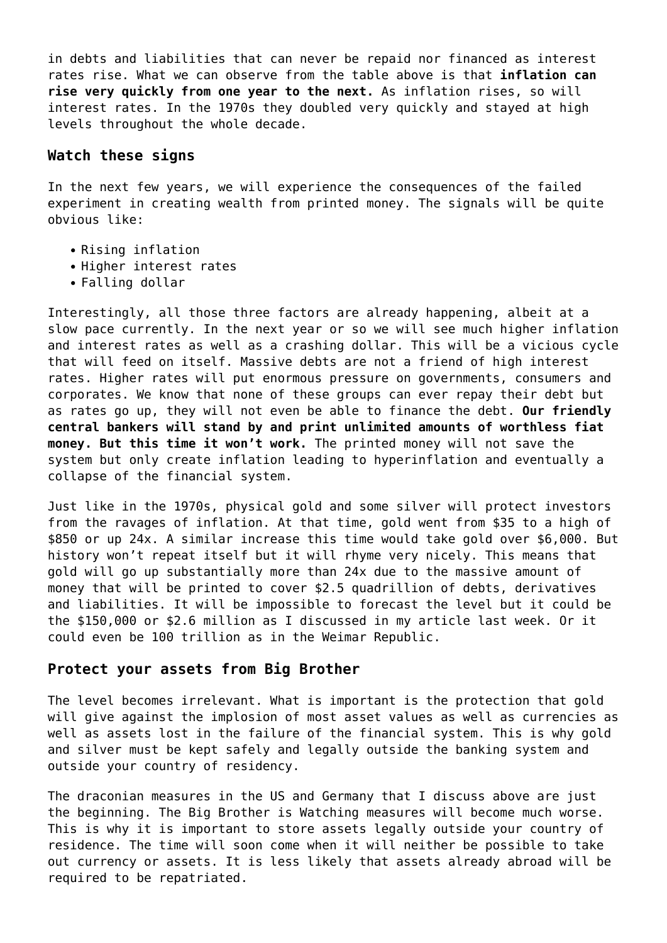in debts and liabilities that can never be repaid nor financed as interest rates rise. What we can observe from the table above is that **inflation can rise very quickly from one year to the next.** As inflation rises, so will interest rates. In the 1970s they doubled very quickly and stayed at high levels throughout the whole decade.

#### **Watch these signs**

In the next few years, we will experience the consequences of the failed experiment in creating wealth from printed money. The signals will be quite obvious like:

- Rising inflation
- Higher interest rates
- Falling dollar

Interestingly, all those three factors are already happening, albeit at a slow pace currently. In the next year or so we will see much higher inflation and interest rates as well as a crashing dollar. This will be a vicious cycle that will feed on itself. Massive debts are not a friend of high interest rates. Higher rates will put enormous pressure on governments, consumers and corporates. We know that none of these groups can ever repay their debt but as rates go up, they will not even be able to finance the debt. **Our friendly central bankers will stand by and print unlimited amounts of worthless fiat money. But this time it won't work.** The printed money will not save the system but only create inflation leading to hyperinflation and eventually a collapse of the financial system.

Just like in the 1970s, physical gold and some silver will protect investors from the ravages of inflation. At that time, gold went from \$35 to a high of \$850 or up 24x. A similar increase this time would take gold over \$6,000. But history won't repeat itself but it will rhyme very nicely. This means that gold will go up substantially more than 24x due to the massive amount of money that will be printed to cover \$2.5 quadrillion of debts, derivatives and liabilities. It will be impossible to forecast the level but it could be the [\\$150,000 or \\$2.6 million as I discussed in my article last week.](https://goldswitzerland.com/will-gold-reach-2-6-million-or-just-150000/) Or it could even be 100 trillion as in the Weimar Republic.

#### **Protect your assets from Big Brother**

The level becomes irrelevant. What is important is the protection that gold will give against the implosion of most asset values as well as currencies as well as assets lost in the failure of the financial system. This is why gold and silver must be kept safely and legally outside the banking system and outside your country of residency.

The draconian measures in the US and Germany that I discuss above are just the beginning. The Big Brother is Watching measures will become much worse. This is why it is important to store assets legally outside your country of residence. The time will soon come when it will neither be possible to take out currency or assets. It is less likely that assets already abroad will be required to be repatriated.